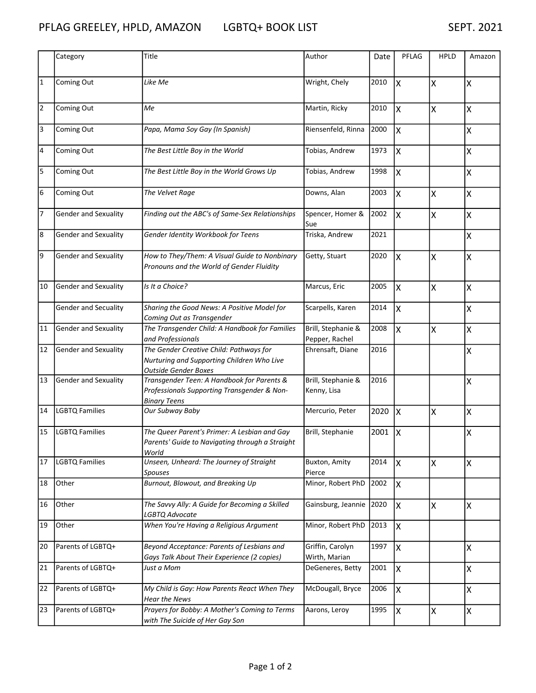|                | Category              | Title                                                                                                                | Author                               | Date | PFLAG | <b>HPLD</b> | Amazon |
|----------------|-----------------------|----------------------------------------------------------------------------------------------------------------------|--------------------------------------|------|-------|-------------|--------|
| $\mathbf{1}$   | Coming Out            | Like Me                                                                                                              | Wright, Chely                        | 2010 | Ιx    | X           | ΙX     |
| $\overline{2}$ | Coming Out            | Me                                                                                                                   | Martin, Ricky                        | 2010 | X     | X           | Ιx     |
| 3              | Coming Out            | Papa, Mama Soy Gay (In Spanish)                                                                                      | Riensenfeld, Rinna                   | 2000 | X     |             | ΙX     |
| 4              | Coming Out            | The Best Little Boy in the World                                                                                     | Tobias, Andrew                       | 1973 | X     |             | ΙX     |
| 5              | Coming Out            | The Best Little Boy in the World Grows Up                                                                            | Tobias, Andrew                       | 1998 | X     |             | ΙX     |
| 6              | Coming Out            | The Velvet Rage                                                                                                      | Downs, Alan                          | 2003 | Ιx    | X           | ΙX     |
| 7              | Gender and Sexuality  | Finding out the ABC's of Same-Sex Relationships                                                                      | Spencer, Homer &<br>Sue              | 2002 | Ιx    | X           | ΙX     |
| 8              | Gender and Sexuality  | Gender Identity Workbook for Teens                                                                                   | Triska, Andrew                       | 2021 |       |             | ΙX     |
| 9              | Gender and Sexuality  | How to They/Them: A Visual Guide to Nonbinary<br>Pronouns and the World of Gender Fluidity                           | Getty, Stuart                        | 2020 | Ιx    | X           | ΙX     |
| 10             | Gender and Sexuality  | Is It a Choice?                                                                                                      | Marcus, Eric                         | 2005 | Ιx    | X           | ΙX     |
|                | Gender and Secuality  | Sharing the Good News: A Positive Model for<br>Coming Out as Transgender                                             | Scarpells, Karen                     | 2014 | Ιx    |             | Ιx     |
| 11             | Gender and Sexuality  | The Transgender Child: A Handbook for Families<br>and Professionals                                                  | Brill, Stephanie &<br>Pepper, Rachel | 2008 | X     | X           | ΙX     |
| 12             | Gender and Sexuality  | The Gender Creative Child: Pathways for<br>Nurturing and Supporting Children Who Live<br><b>Outside Gender Boxes</b> | Ehrensaft, Diane                     | 2016 |       |             | ΙX     |
| 13             | Gender and Sexuality  | Transgender Teen: A Handbook for Parents &<br>Professionals Supporting Transgender & Non-<br><b>Binary Teens</b>     | Brill, Stephanie &<br>Kenny, Lisa    | 2016 |       |             | ΙX     |
| 14             | <b>LGBTQ Families</b> | Our Subway Baby                                                                                                      | Mercurio, Peter                      | 2020 | lх    | Χ           | Ιx     |
| 15             | <b>LGBTQ Families</b> | The Queer Parent's Primer: A Lesbian and Gay<br>Parents' Guide to Navigating through a Straight<br>World             | Brill, Stephanie                     | 2001 | ΙX    |             | ΙX     |
| 17             | <b>LGBTQ Families</b> | Unseen, Unheard: The Journey of Straight<br>Spouses                                                                  | Buxton, Amity<br>Pierce              | 2014 | X     | Χ           | Ιx     |
| 18             | Other                 | Burnout, Blowout, and Breaking Up                                                                                    | Minor, Robert PhD                    | 2002 | Ιx    |             |        |
| 16             | Other                 | The Savvy Ally: A Guide for Becoming a Skilled<br>LGBTQ Advocate                                                     | Gainsburg, Jeannie                   | 2020 | Ιx    | X           | lx.    |
| 19             | Other                 | When You're Having a Religious Argument                                                                              | Minor, Robert PhD                    | 2013 | ΙX    |             |        |
| 20             | Parents of LGBTQ+     | Beyond Acceptance: Parents of Lesbians and<br>Gays Talk About Their Experience (2 copies)                            | Griffin, Carolyn<br>Wirth, Marian    | 1997 | ΙX    |             | lx.    |
| 21             | Parents of LGBTQ+     | Just a Mom                                                                                                           | DeGeneres, Betty                     | 2001 | ΙX    |             | lx.    |
| 22             | Parents of LGBTQ+     | My Child is Gay: How Parents React When They<br><b>Hear the News</b>                                                 | McDougall, Bryce                     | 2006 | X     |             | lx.    |
| 23             | Parents of LGBTQ+     | Prayers for Bobby: A Mother's Coming to Terms<br>with The Suicide of Her Gay Son                                     | Aarons, Leroy                        | 1995 | ΙX    | Χ           | lx.    |